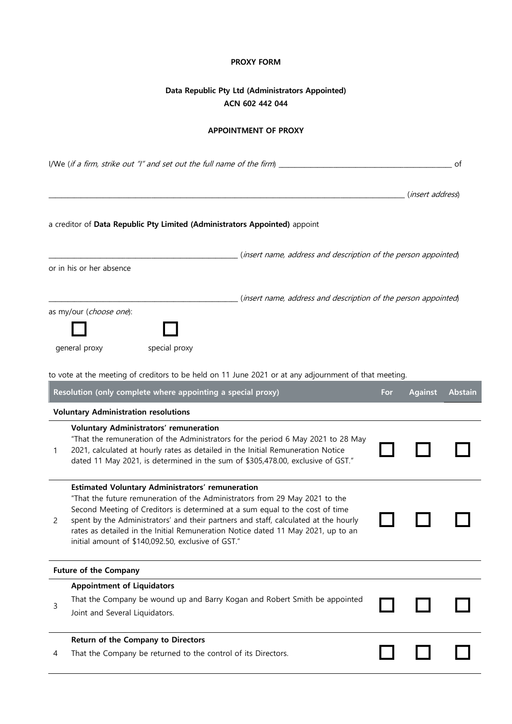#### **PROXY FORM**

# **Data Republic Pty Ltd (Administrators Appointed) ACN 602 442 044**

### **APPOINTMENT OF PROXY**

| I/We (if a firm, strike out "I" and set out the full name of the firm) _<br>οf |                                                                                                                                                                                                                                                                                                                                                                                                                                                  |     |                           |                |  |
|--------------------------------------------------------------------------------|--------------------------------------------------------------------------------------------------------------------------------------------------------------------------------------------------------------------------------------------------------------------------------------------------------------------------------------------------------------------------------------------------------------------------------------------------|-----|---------------------------|----------------|--|
|                                                                                |                                                                                                                                                                                                                                                                                                                                                                                                                                                  |     | ( <i>insert address</i> ) |                |  |
|                                                                                | a creditor of Data Republic Pty Limited (Administrators Appointed) appoint                                                                                                                                                                                                                                                                                                                                                                       |     |                           |                |  |
|                                                                                | (insert name, address and description of the person appointed)<br>or in his or her absence                                                                                                                                                                                                                                                                                                                                                       |     |                           |                |  |
|                                                                                | (insert name, address and description of the person appointed)<br>as my/our (choose one):                                                                                                                                                                                                                                                                                                                                                        |     |                           |                |  |
|                                                                                | general proxy<br>special proxy                                                                                                                                                                                                                                                                                                                                                                                                                   |     |                           |                |  |
|                                                                                | to vote at the meeting of creditors to be held on 11 June 2021 or at any adjournment of that meeting.<br>Resolution (only complete where appointing a special proxy)                                                                                                                                                                                                                                                                             | For | <b>Against</b>            | <b>Abstain</b> |  |
|                                                                                | <b>Voluntary Administration resolutions</b>                                                                                                                                                                                                                                                                                                                                                                                                      |     |                           |                |  |
| 1                                                                              | <b>Voluntary Administrators' remuneration</b><br>"That the remuneration of the Administrators for the period 6 May 2021 to 28 May<br>2021, calculated at hourly rates as detailed in the Initial Remuneration Notice<br>dated 11 May 2021, is determined in the sum of \$305,478.00, exclusive of GST."                                                                                                                                          |     |                           |                |  |
| 2                                                                              | Estimated Voluntary Administrators' remuneration<br>"That the future remuneration of the Administrators from 29 May 2021 to the<br>Second Meeting of Creditors is determined at a sum equal to the cost of time<br>spent by the Administrators' and their partners and staff, calculated at the hourly<br>rates as detailed in the Initial Remuneration Notice dated 11 May 2021, up to an<br>initial amount of \$140,092.50, exclusive of GST." |     |                           |                |  |
|                                                                                | <b>Future of the Company</b>                                                                                                                                                                                                                                                                                                                                                                                                                     |     |                           |                |  |
| 3                                                                              | <b>Appointment of Liquidators</b><br>That the Company be wound up and Barry Kogan and Robert Smith be appointed<br>Joint and Several Liquidators.                                                                                                                                                                                                                                                                                                |     |                           |                |  |
| 4                                                                              | Return of the Company to Directors<br>That the Company be returned to the control of its Directors.                                                                                                                                                                                                                                                                                                                                              |     |                           |                |  |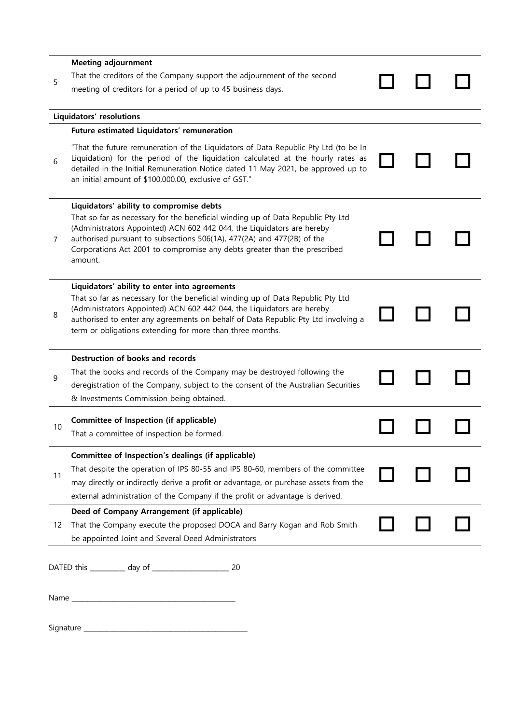|                          | <b>Meeting adjournment</b>                                                                                                                                                                                                                                                                                           |  |  |  |  |
|--------------------------|----------------------------------------------------------------------------------------------------------------------------------------------------------------------------------------------------------------------------------------------------------------------------------------------------------------------|--|--|--|--|
| 5                        | That the creditors of the Company support the adjournment of the second                                                                                                                                                                                                                                              |  |  |  |  |
|                          | meeting of creditors for a period of up to 45 business days.                                                                                                                                                                                                                                                         |  |  |  |  |
| Liquidators' resolutions |                                                                                                                                                                                                                                                                                                                      |  |  |  |  |
|                          | Future estimated Liquidators' remuneration                                                                                                                                                                                                                                                                           |  |  |  |  |
|                          |                                                                                                                                                                                                                                                                                                                      |  |  |  |  |
| 6                        | "That the future remuneration of the Liquidators of Data Republic Pty Ltd (to be In<br>Liquidation) for the period of the liquidation calculated at the hourly rates as<br>detailed in the Initial Remuneration Notice dated 11 May 2021, be approved up to<br>an initial amount of \$100,000.00, exclusive of GST." |  |  |  |  |
|                          | Liquidators' ability to compromise debts                                                                                                                                                                                                                                                                             |  |  |  |  |
| 7                        | That so far as necessary for the beneficial winding up of Data Republic Pty Ltd<br>(Administrators Appointed) ACN 602 442 044, the Liquidators are hereby                                                                                                                                                            |  |  |  |  |
|                          | authorised pursuant to subsections 506(1A), 477(2A) and 477(2B) of the<br>Corporations Act 2001 to compromise any debts greater than the prescribed<br>amount.                                                                                                                                                       |  |  |  |  |
|                          | Liquidators' ability to enter into agreements                                                                                                                                                                                                                                                                        |  |  |  |  |
|                          | That so far as necessary for the beneficial winding up of Data Republic Pty Ltd                                                                                                                                                                                                                                      |  |  |  |  |
| 8                        | (Administrators Appointed) ACN 602 442 044, the Liquidators are hereby<br>authorised to enter any agreements on behalf of Data Republic Pty Ltd involving a                                                                                                                                                          |  |  |  |  |
|                          | term or obligations extending for more than three months.                                                                                                                                                                                                                                                            |  |  |  |  |
|                          | Destruction of books and records                                                                                                                                                                                                                                                                                     |  |  |  |  |
| 9                        | That the books and records of the Company may be destroyed following the                                                                                                                                                                                                                                             |  |  |  |  |
|                          | deregistration of the Company, subject to the consent of the Australian Securities                                                                                                                                                                                                                                   |  |  |  |  |
|                          | & Investments Commission being obtained.                                                                                                                                                                                                                                                                             |  |  |  |  |
|                          | Committee of Inspection (if applicable)                                                                                                                                                                                                                                                                              |  |  |  |  |
| 10                       | That a committee of inspection be formed.                                                                                                                                                                                                                                                                            |  |  |  |  |
|                          | Committee of Inspection's dealings (if applicable)                                                                                                                                                                                                                                                                   |  |  |  |  |
|                          | That despite the operation of IPS 80-55 and IPS 80-60, members of the committee                                                                                                                                                                                                                                      |  |  |  |  |
| 11                       | may directly or indirectly derive a profit or advantage, or purchase assets from the                                                                                                                                                                                                                                 |  |  |  |  |
|                          | external administration of the Company if the profit or advantage is derived.                                                                                                                                                                                                                                        |  |  |  |  |
| 12                       | Deed of Company Arrangement (if applicable)                                                                                                                                                                                                                                                                          |  |  |  |  |
|                          | That the Company execute the proposed DOCA and Barry Kogan and Rob Smith                                                                                                                                                                                                                                             |  |  |  |  |
|                          | be appointed Joint and Several Deed Administrators                                                                                                                                                                                                                                                                   |  |  |  |  |
|                          |                                                                                                                                                                                                                                                                                                                      |  |  |  |  |
|                          |                                                                                                                                                                                                                                                                                                                      |  |  |  |  |
|                          |                                                                                                                                                                                                                                                                                                                      |  |  |  |  |
|                          |                                                                                                                                                                                                                                                                                                                      |  |  |  |  |
|                          |                                                                                                                                                                                                                                                                                                                      |  |  |  |  |